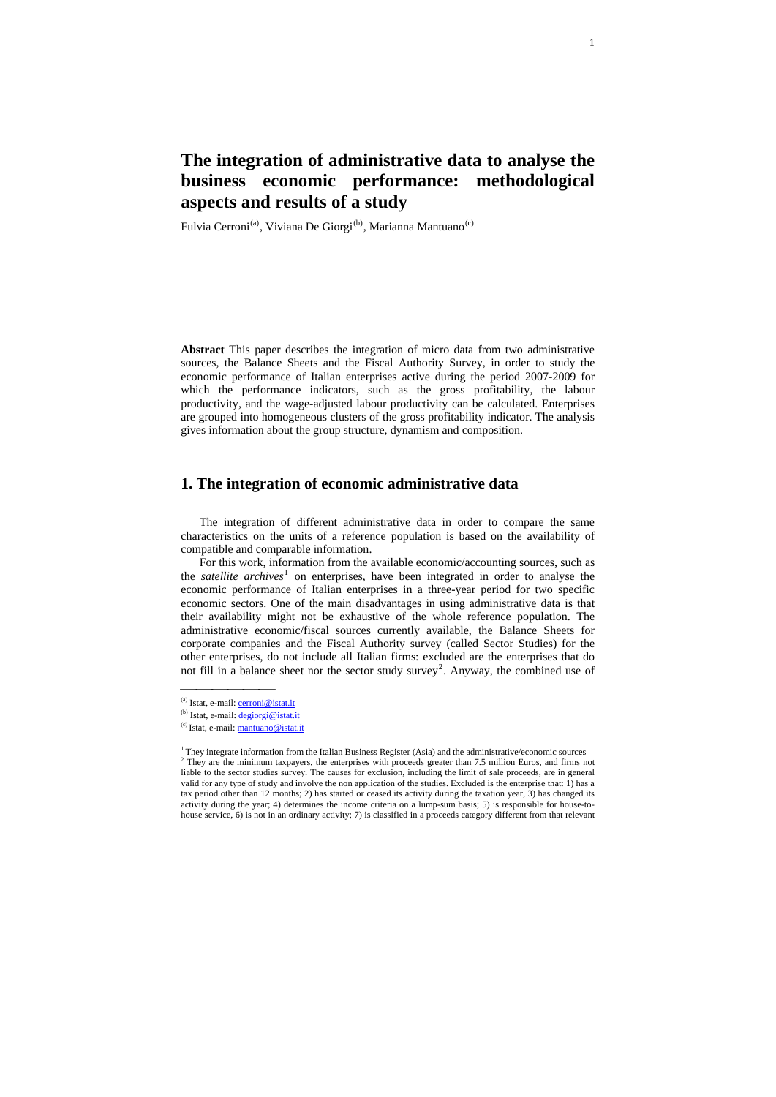# **The integration of administrative data to analyse the business economic performance: methodological aspects and results of a study**

Fulvia Cerroni<sup>[\(a\)](#page-0-0)</sup>, Viviana De Giorgi<sup>[\(b\)](#page-0-1)</sup>, Marianna Mantuano<sup>[\(c\)](#page-0-2)</sup>

**Abstract** This paper describes the integration of micro data from two administrative sources, the Balance Sheets and the Fiscal Authority Survey, in order to study the economic performance of Italian enterprises active during the period 2007-2009 for which the performance indicators, such as the gross profitability, the labour productivity, and the wage-adjusted labour productivity can be calculated. Enterprises are grouped into homogeneous clusters of the gross profitability indicator. The analysis gives information about the group structure, dynamism and composition.

## **1. The integration of economic administrative data**

The integration of different administrative data in order to compare the same characteristics on the units of a reference population is based on the availability of compatible and comparable information.

For this work, information from the available economic/accounting sources, such as the *satellite archives*<sup>[1](#page-0-3)</sup> on enterprises, have been integrated in order to analyse the economic performance of Italian enterprises in a three-year period for two specific economic sectors. One of the main disadvantages in using administrative data is that their availability might not be exhaustive of the whole reference population. The administrative economic/fiscal sources currently available, the Balance Sheets for corporate companies and the Fiscal Authority survey (called Sector Studies) for the other enterprises, do not include all Italian firms: excluded are the enterprises that do not fill in a balance sheet nor the sector study survey<sup>[2](#page-0-4)</sup>. Anyway, the combined use of

(a) Istat, e-mail: [cerroni@istat.it](mailto:cerroni@istat.it)

<span id="page-0-1"></span><span id="page-0-0"></span><sup>(</sup>b) Istat, e-mail: [degiorgi@istat.it](mailto:degiorgi@istat.it)

<span id="page-0-2"></span><sup>(</sup>c) Istat, e-mail: [mantuano@istat.it](mailto:mantuano@istat.it)

<span id="page-0-4"></span><span id="page-0-3"></span><sup>&</sup>lt;sup>1</sup> They integrate information from the Italian Business Register (Asia) and the administrative/economic sources <sup>2</sup> They are the minimum taxpayers, the enterprises with proceeds greater than 7.5 million Euros, and firms not liable to the sector studies survey. The causes for exclusion, including the limit of sale proceeds, are in general valid for any type of study and involve the non application of the studies. Excluded is the enterprise that: 1) has a tax period other than 12 months; 2) has started or ceased its activity during the taxation year, 3) has changed its activity during the year; 4) determines the income criteria on a lump-sum basis; 5) is responsible for house-tohouse service, 6) is not in an ordinary activity; 7) is classified in a proceeds category different from that relevant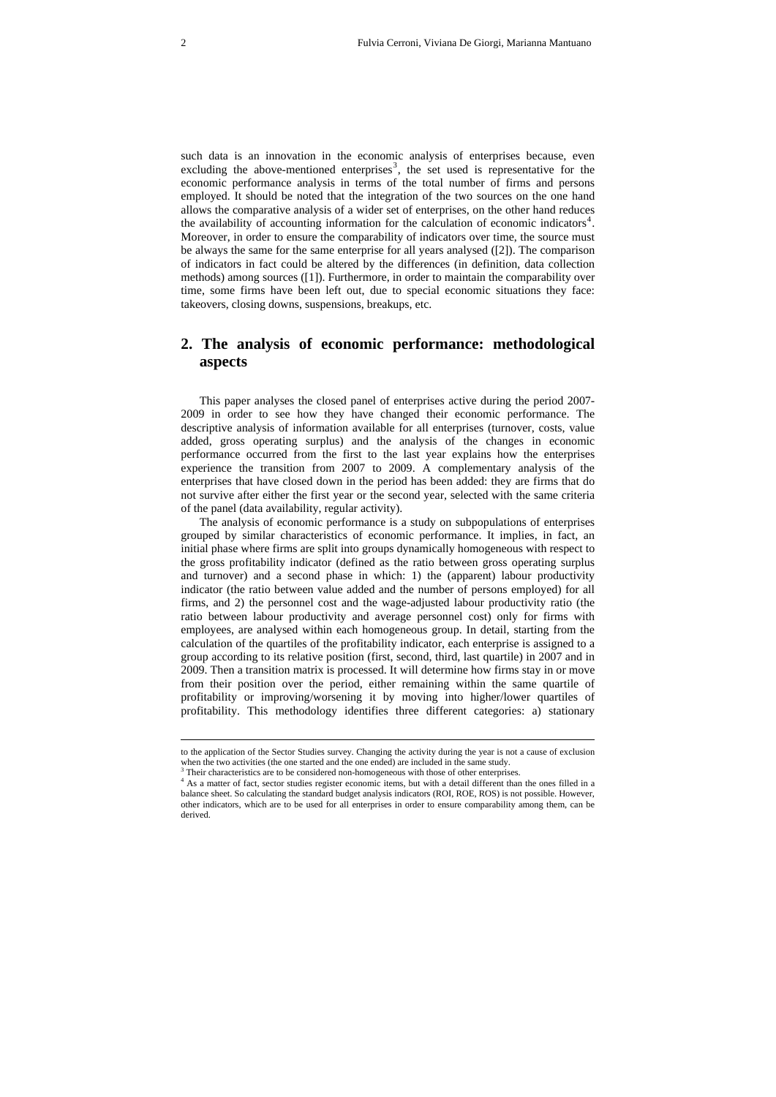such data is an innovation in the economic analysis of enterprises because, even excluding the above-mentioned enterprises<sup>[3](#page-1-0)</sup>, the set used is representative for the economic performance analysis in terms of the total number of firms and persons employed. It should be noted that the integration of the two sources on the one hand allows the comparative analysis of a wider set of enterprises, on the other hand reduces the availability of accounting information for the calculation of economic indicators<sup>[4](#page-1-1)</sup>. Moreover, in order to ensure the comparability of indicators over time, the source must be always the same for the same enterprise for all years analysed ([2]). The comparison of indicators in fact could be altered by the differences (in definition, data collection methods) among sources ([1]). Furthermore, in order to maintain the comparability over time, some firms have been left out, due to special economic situations they face: takeovers, closing downs, suspensions, breakups, etc.

## **2. The analysis of economic performance: methodological aspects**

This paper analyses the closed panel of enterprises active during the period 2007- 2009 in order to see how they have changed their economic performance. The descriptive analysis of information available for all enterprises (turnover, costs, value added, gross operating surplus) and the analysis of the changes in economic performance occurred from the first to the last year explains how the enterprises experience the transition from 2007 to 2009. A complementary analysis of the enterprises that have closed down in the period has been added: they are firms that do not survive after either the first year or the second year, selected with the same criteria of the panel (data availability, regular activity).

The analysis of economic performance is a study on subpopulations of enterprises grouped by similar characteristics of economic performance. It implies, in fact, an initial phase where firms are split into groups dynamically homogeneous with respect to the gross profitability indicator (defined as the ratio between gross operating surplus and turnover) and a second phase in which: 1) the (apparent) labour productivity indicator (the ratio between value added and the number of persons employed) for all firms, and 2) the personnel cost and the wage-adjusted labour productivity ratio (the ratio between labour productivity and average personnel cost) only for firms with employees, are analysed within each homogeneous group. In detail, starting from the calculation of the quartiles of the profitability indicator, each enterprise is assigned to a group according to its relative position (first, second, third, last quartile) in 2007 and in 2009. Then a transition matrix is processed. It will determine how firms stay in or move from their position over the period, either remaining within the same quartile of profitability or improving/worsening it by moving into higher/lower quartiles of profitability. This methodology identifies three different categories: a) stationary

 $\overline{a}$ 

to the application of the Sector Studies survey. Changing the activity during the year is not a cause of exclusion when the two activities (the one started and the one ended) are included in the same study.

Their characteristics are to be considered non-homogeneous with those of other enterprises.

<span id="page-1-1"></span><span id="page-1-0"></span><sup>&</sup>lt;sup>4</sup> As a matter of fact, sector studies register economic items, but with a detail different than the ones filled in a balance sheet. So calculating the standard budget analysis indicators (ROI, ROE, ROS) is not possible. However, other indicators, which are to be used for all enterprises in order to ensure comparability among them, can be derived.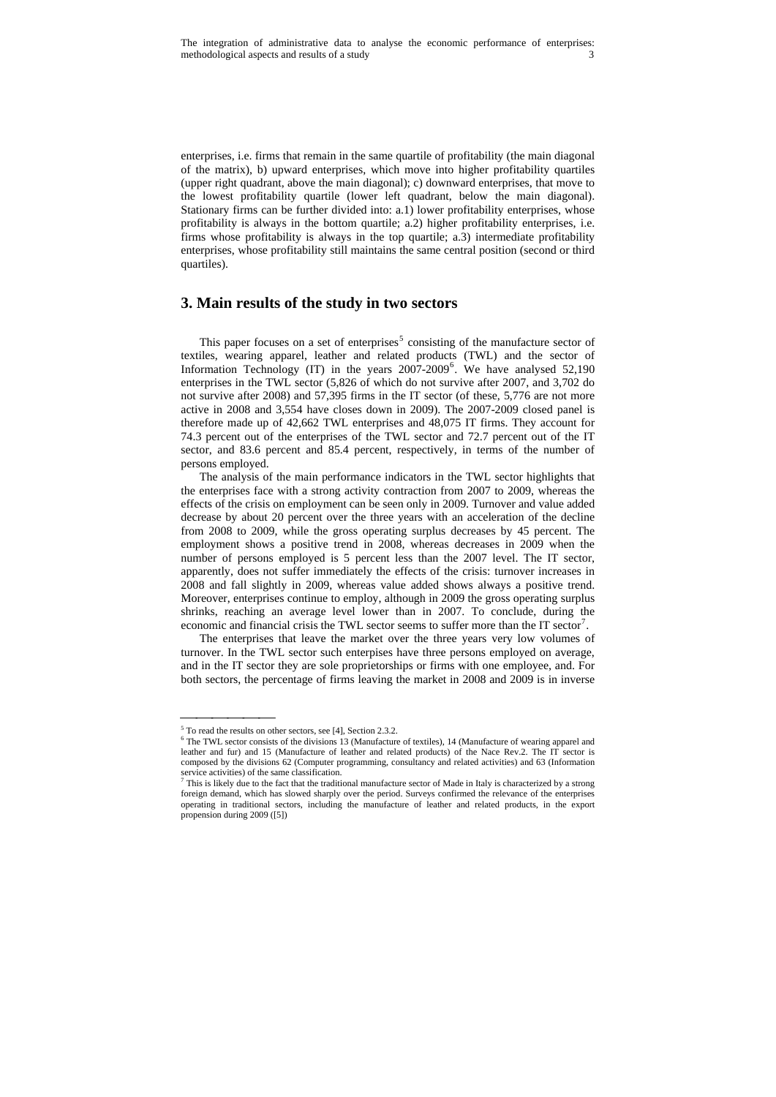enterprises, i.e. firms that remain in the same quartile of profitability (the main diagonal of the matrix), b) upward enterprises, which move into higher profitability quartiles (upper right quadrant, above the main diagonal); c) downward enterprises, that move to the lowest profitability quartile (lower left quadrant, below the main diagonal). Stationary firms can be further divided into: a.1) lower profitability enterprises, whose profitability is always in the bottom quartile; a.2) higher profitability enterprises, i.e. firms whose profitability is always in the top quartile; a.3) intermediate profitability enterprises, whose profitability still maintains the same central position (second or third quartiles).

### **3. Main results of the study in two sectors**

This paper focuses on a set of enterprises<sup>[5](#page-2-0)</sup> consisting of the manufacture sector of textiles, wearing apparel, leather and related products (TWL) and the sector of Information Technology (IT) in the years  $2007-2009^6$  $2007-2009^6$ . We have analysed 52,190 enterprises in the TWL sector (5,826 of which do not survive after 2007, and 3,702 do not survive after 2008) and 57,395 firms in the IT sector (of these, 5,776 are not more active in 2008 and 3,554 have closes down in 2009). The 2007-2009 closed panel is therefore made up of 42,662 TWL enterprises and 48,075 IT firms. They account for 74.3 percent out of the enterprises of the TWL sector and 72.7 percent out of the IT sector, and 83.6 percent and 85.4 percent, respectively, in terms of the number of persons employed.

The analysis of the main performance indicators in the TWL sector highlights that the enterprises face with a strong activity contraction from 2007 to 2009, whereas the effects of the crisis on employment can be seen only in 2009. Turnover and value added decrease by about 20 percent over the three years with an acceleration of the decline from 2008 to 2009, while the gross operating surplus decreases by 45 percent. The employment shows a positive trend in 2008, whereas decreases in 2009 when the number of persons employed is 5 percent less than the 2007 level. The IT sector, apparently, does not suffer immediately the effects of the crisis: turnover increases in 2008 and fall slightly in 2009, whereas value added shows always a positive trend. Moreover, enterprises continue to employ, although in 2009 the gross operating surplus shrinks, reaching an average level lower than in 2007. To conclude, during the economic and financial crisis the TWL sector seems to suffer more than the IT sector<sup>[7](#page-2-2)</sup>.

The enterprises that leave the market over the three years very low volumes of turnover. In the TWL sector such enterpises have three persons employed on average, and in the IT sector they are sole proprietorships or firms with one employee, and. For both sectors, the percentage of firms leaving the market in 2008 and 2009 is in inverse

 $^5$  To read the results on other sectors, see [4], Section 2.3.2.

<span id="page-2-1"></span><span id="page-2-0"></span>The TWL sector consists of the divisions 13 (Manufacture of textiles), 14 (Manufacture of wearing apparel and leather and fur) and 15 (Manufacture of leather and related products) of the Nace Rev.2. The IT sector is composed by the divisions 62 (Computer programming, consultancy and related activities) and 63 (Information service activities) of the same classification.<br> $7 \text{ This is likely due to the fact that the tradition.}$ 

<span id="page-2-2"></span>This is likely due to the fact that the traditional manufacture sector of Made in Italy is characterized by a strong foreign demand, which has slowed sharply over the period. Surveys confirmed the relevance of the enterprises operating in traditional sectors, including the manufacture of leather and related products, in the export propension during 2009 ([5])